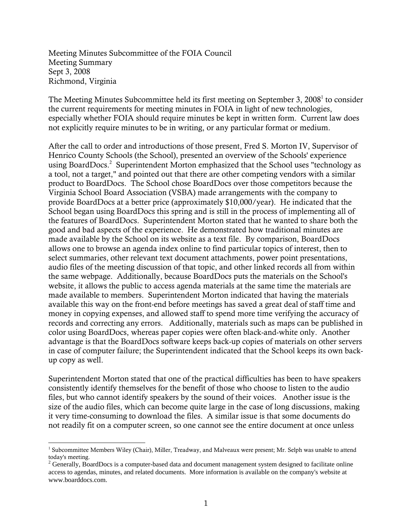Meeting Minutes Subcommittee of the FOIA Council Meeting Summary Sept 3, 2008 Richmond, Virginia

The Meeting Minutes Subcommittee held its first meeting on September 3, 2008<sup>1</sup> to consider the current requirements for meeting minutes in FOIA in light of new technologies, especially whether FOIA should require minutes be kept in written form. Current law does not explicitly require minutes to be in writing, or any particular format or medium.

After the call to order and introductions of those present, Fred S. Morton IV, Supervisor of Henrico County Schools (the School), presented an overview of the Schools' experience using BoardDocs.<sup>2</sup> Superintendent Morton emphasized that the School uses "technology as a tool, not a target," and pointed out that there are other competing vendors with a similar product to BoardDocs. The School chose BoardDocs over those competitors because the Virginia School Board Association (VSBA) made arrangements with the company to provide BoardDocs at a better price (approximately \$10,000/year). He indicated that the School began using BoardDocs this spring and is still in the process of implementing all of the features of BoardDocs. Superintendent Morton stated that he wanted to share both the good and bad aspects of the experience. He demonstrated how traditional minutes are made available by the School on its website as a text file. By comparison, BoardDocs allows one to browse an agenda index online to find particular topics of interest, then to select summaries, other relevant text document attachments, power point presentations, audio files of the meeting discussion of that topic, and other linked records all from within the same webpage. Additionally, because BoardDocs puts the materials on the School's website, it allows the public to access agenda materials at the same time the materials are made available to members. Superintendent Morton indicated that having the materials available this way on the front-end before meetings has saved a great deal of staff time and money in copying expenses, and allowed staff to spend more time verifying the accuracy of records and correcting any errors. Additionally, materials such as maps can be published in color using BoardDocs, whereas paper copies were often black-and-white only. Another advantage is that the BoardDocs software keeps back-up copies of materials on other servers in case of computer failure; the Superintendent indicated that the School keeps its own backup copy as well.

Superintendent Morton stated that one of the practical difficulties has been to have speakers consistently identify themselves for the benefit of those who choose to listen to the audio files, but who cannot identify speakers by the sound of their voices. Another issue is the size of the audio files, which can become quite large in the case of long discussions, making it very time-consuming to download the files. A similar issue is that some documents do not readily fit on a computer screen, so one cannot see the entire document at once unless

 1 Subcommittee Members Wiley (Chair), Miller, Treadway, and Malveaux were present; Mr. Selph was unable to attend today's meeting. 2

<sup>&</sup>lt;sup>2</sup> Generally, BoardDocs is a computer-based data and document management system designed to facilitate online access to agendas, minutes, and related documents. More information is available on the company's website at www.boarddocs.com.